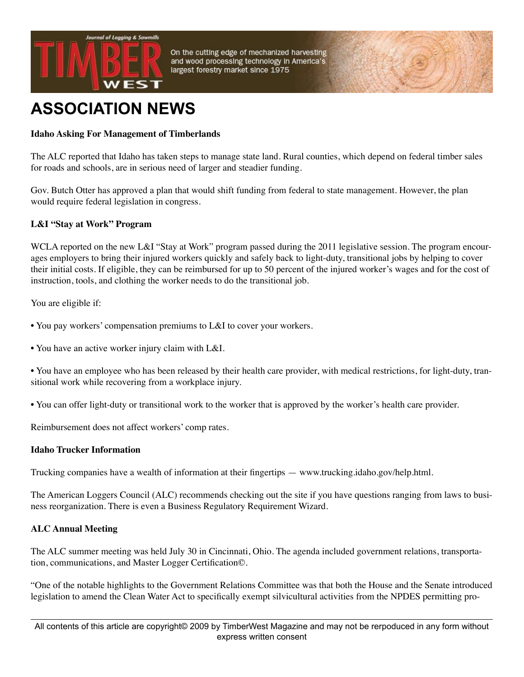

On the cutting edge of mechanized harvesting and wood processing technology in America's largest forestry market since 1975

# **ASSOCIATION NEWS**

## **Idaho Asking For Management of Timberlands**

The ALC reported that Idaho has taken steps to manage state land. Rural counties, which depend on federal timber sales for roads and schools, are in serious need of larger and steadier funding.

Gov. Butch Otter has approved a plan that would shift funding from federal to state management. However, the plan would require federal legislation in congress.

### **L&I "Stay at Work" Program**

WCLA reported on the new L&I "Stay at Work" program passed during the 2011 legislative session. The program encourages employers to bring their injured workers quickly and safely back to light-duty, transitional jobs by helping to cover their initial costs. If eligible, they can be reimbursed for up to 50 percent of the injured worker's wages and for the cost of instruction, tools, and clothing the worker needs to do the transitional job.

You are eligible if:

- You pay workers' compensation premiums to L&I to cover your workers.
- You have an active worker injury claim with L&I.

• You have an employee who has been released by their health care provider, with medical restrictions, for light-duty, transitional work while recovering from a workplace injury.

• You can offer light-duty or transitional work to the worker that is approved by the worker's health care provider.

Reimbursement does not affect workers' comp rates.

#### **Idaho Trucker Information**

Trucking companies have a wealth of information at their fingertips — www.trucking.idaho.gov/help.html.

The American Loggers Council (ALC) recommends checking out the site if you have questions ranging from laws to business reorganization. There is even a Business Regulatory Requirement Wizard.

### **ALC Annual Meeting**

The ALC summer meeting was held July 30 in Cincinnati, Ohio. The agenda included government relations, transportation, communications, and Master Logger Certification©.

"One of the notable highlights to the Government Relations Committee was that both the House and the Senate introduced legislation to amend the Clean Water Act to specifically exempt silvicultural activities from the NPDES permitting pro-